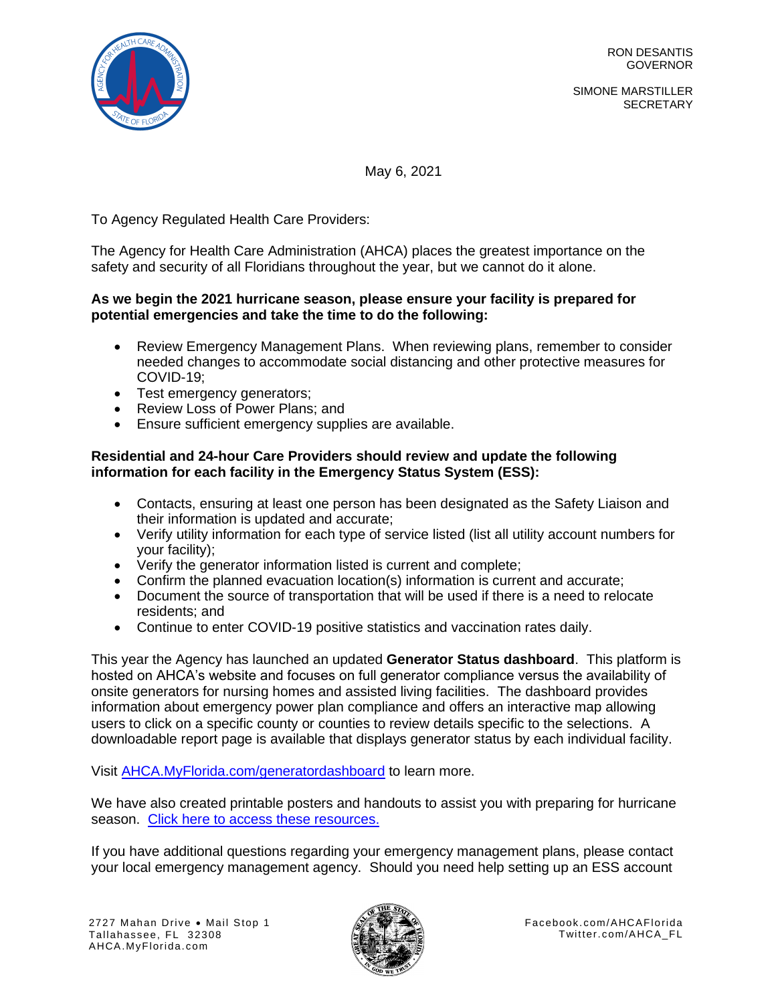

SIMONE MARSTILLER **SECRETARY** 

May 6, 2021

To Agency Regulated Health Care Providers:

The Agency for Health Care Administration (AHCA) places the greatest importance on the safety and security of all Floridians throughout the year, but we cannot do it alone.

# **As we begin the 2021 hurricane season, please ensure your facility is prepared for potential emergencies and take the time to do the following:**

- Review Emergency Management Plans. When reviewing plans, remember to consider needed changes to accommodate social distancing and other protective measures for COVID-19;
- Test emergency generators;
- Review Loss of Power Plans; and
- Ensure sufficient emergency supplies are available.

#### **Residential and 24-hour Care Providers should review and update the following information for each facility in the Emergency Status System (ESS):**

- Contacts, ensuring at least one person has been designated as the Safety Liaison and their information is updated and accurate;
- Verify utility information for each type of service listed (list all utility account numbers for your facility);
- Verify the generator information listed is current and complete;
- Confirm the planned evacuation location(s) information is current and accurate;
- Document the source of transportation that will be used if there is a need to relocate residents; and
- Continue to enter COVID-19 positive statistics and vaccination rates daily.

This year the Agency has launched an updated **Generator Status dashboard**. This platform is hosted on AHCA's website and focuses on full generator compliance versus the availability of onsite generators for nursing homes and assisted living facilities. The dashboard provides information about emergency power plan compliance and offers an interactive map allowing users to click on a specific county or counties to review details specific to the selections. A downloadable report page is available that displays generator status by each individual facility.

Visit [AHCA.MyFlorida.com/generatordashboard](https://bi.ahca.myflorida.com/t/ABICC/views/GeneratorStatusMap-April2021Draft/GeneratorStatusMap?%3AshowAppBanner=false&%3Adisplay_count=n&%3AshowVizHome=n&%3Aorigin=viz_share_link&%3AisGuestRedirectFromVizportal=y&%3Aembed=y) to learn more.

We have also created printable posters and handouts to assist you with preparing for hurricane season. [Click here to access these resources.](https://ahca.myflorida.com/mchq/emergency_activities/index.shtml)

If you have additional questions regarding your emergency management plans, please contact your local emergency management agency. Should you need help setting up an ESS account